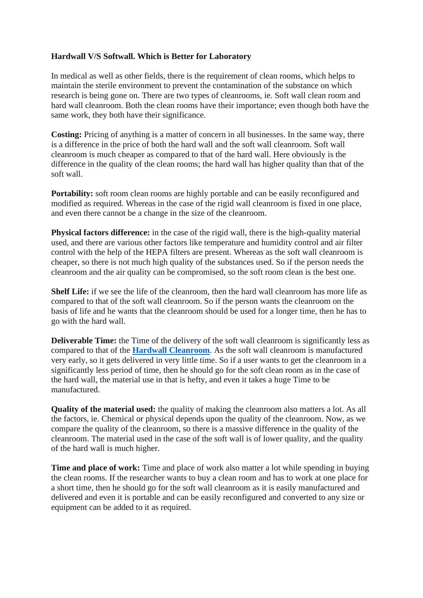## **Hardwall V/S Softwall. Which is Better for Laboratory**

In medical as well as other fields, there is the requirement of clean rooms, which helps to maintain the sterile environment to prevent the contamination of the substance on which research is being gone on. There are two types of cleanrooms, ie. Soft wall clean room and hard wall cleanroom. Both the clean rooms have their importance; even though both have the same work, they both have their significance.

**Costing:** Pricing of anything is a matter of concern in all businesses. In the same way, there is a difference in the price of both the hard wall and the soft wall cleanroom. Soft wall cleanroom is much cheaper as compared to that of the hard wall. Here obviously is the difference in the quality of the clean rooms; the hard wall has higher quality than that of the soft wall.

Portability: soft room clean rooms are highly portable and can be easily reconfigured and modified as required. Whereas in the case of the rigid wall cleanroom is fixed in one place, and even there cannot be a change in the size of the cleanroom.

**Physical factors difference:** in the case of the rigid wall, there is the high-quality material used, and there are various other factors like temperature and humidity control and air filter control with the help of the HEPA filters are present. Whereas as the soft wall cleanroom is cheaper, so there is not much high quality of the substances used. So if the person needs the cleanroom and the air quality can be compromised, so the soft room clean is the best one.

**Shelf Life:** if we see the life of the cleanroom, then the hard wall cleanroom has more life as compared to that of the soft wall cleanroom. So if the person wants the cleanroom on the basis of life and he wants that the cleanroom should be used for a longer time, then he has to go with the hard wall.

**Deliverable Time:** the Time of the delivery of the soft wall cleanroom is significantly less as compared to that of the **[Hardwall Cleanroom](https://ezadcleanroom.com/hardwall-modular-cleanrooms)**. As the soft wall cleanroom is manufactured very early, so it gets delivered in very little time. So if a user wants to get the cleanroom in a significantly less period of time, then he should go for the soft clean room as in the case of the hard wall, the material use in that is hefty, and even it takes a huge Time to be manufactured.

**Quality of the material used:** the quality of making the cleanroom also matters a lot. As all the factors, ie. Chemical or physical depends upon the quality of the cleanroom. Now, as we compare the quality of the cleanroom, so there is a massive difference in the quality of the cleanroom. The material used in the case of the soft wall is of lower quality, and the quality of the hard wall is much higher.

**Time and place of work:** Time and place of work also matter a lot while spending in buying the clean rooms. If the researcher wants to buy a clean room and has to work at one place for a short time, then he should go for the soft wall cleanroom as it is easily manufactured and delivered and even it is portable and can be easily reconfigured and converted to any size or equipment can be added to it as required.